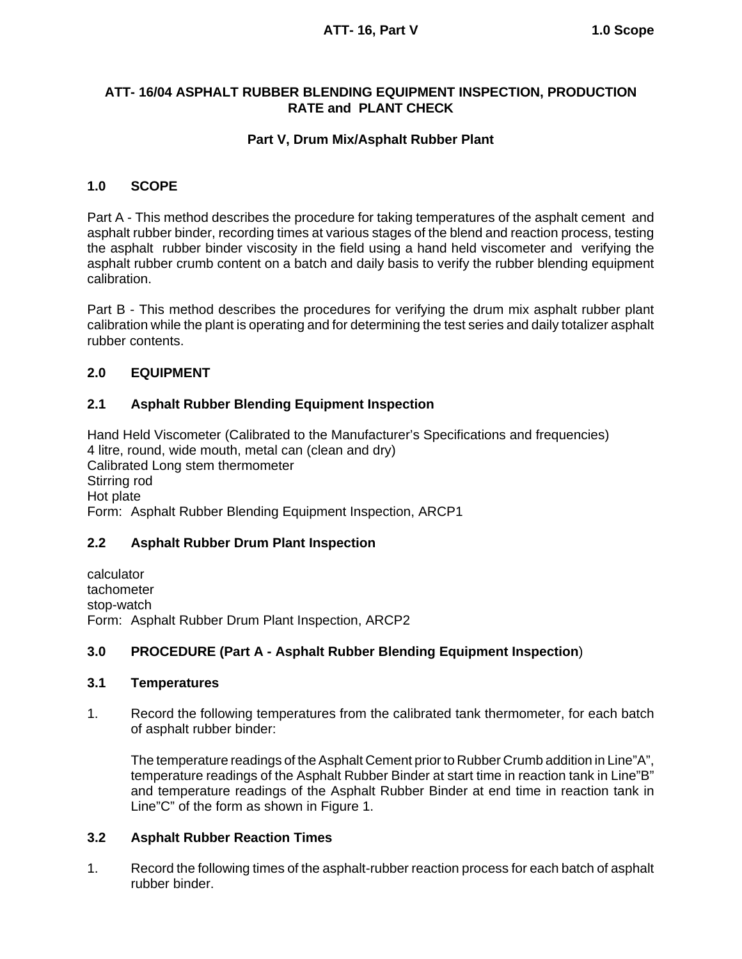### **ATT- 16/04 ASPHALT RUBBER BLENDING EQUIPMENT INSPECTION, PRODUCTION RATE and PLANT CHECK**

# **Part V, Drum Mix/Asphalt Rubber Plant**

# **1.0 SCOPE**

Part A - This method describes the procedure for taking temperatures of the asphalt cement and asphalt rubber binder, recording times at various stages of the blend and reaction process, testing the asphalt rubber binder viscosity in the field using a hand held viscometer and verifying the asphalt rubber crumb content on a batch and daily basis to verify the rubber blending equipment calibration.

Part B - This method describes the procedures for verifying the drum mix asphalt rubber plant calibration while the plant is operating and for determining the test series and daily totalizer asphalt rubber contents.

### **2.0 EQUIPMENT**

# **2.1 Asphalt Rubber Blending Equipment Inspection**

Hand Held Viscometer (Calibrated to the Manufacturer's Specifications and frequencies) 4 litre, round, wide mouth, metal can (clean and dry) Calibrated Long stem thermometer Stirring rod Hot plate Form: Asphalt Rubber Blending Equipment Inspection, ARCP1

### **2.2 Asphalt Rubber Drum Plant Inspection**

calculator tachometer stop-watch Form: Asphalt Rubber Drum Plant Inspection, ARCP2

### **3.0 PROCEDURE (Part A - Asphalt Rubber Blending Equipment Inspection**)

### **3.1 Temperatures**

1. Record the following temperatures from the calibrated tank thermometer, for each batch of asphalt rubber binder:

The temperature readings of the Asphalt Cement prior to Rubber Crumb addition in Line"A", temperature readings of the Asphalt Rubber Binder at start time in reaction tank in Line"B" and temperature readings of the Asphalt Rubber Binder at end time in reaction tank in Line"C" of the form as shown in Figure 1.

### **3.2 Asphalt Rubber Reaction Times**

1. Record the following times of the asphalt-rubber reaction process for each batch of asphalt rubber binder.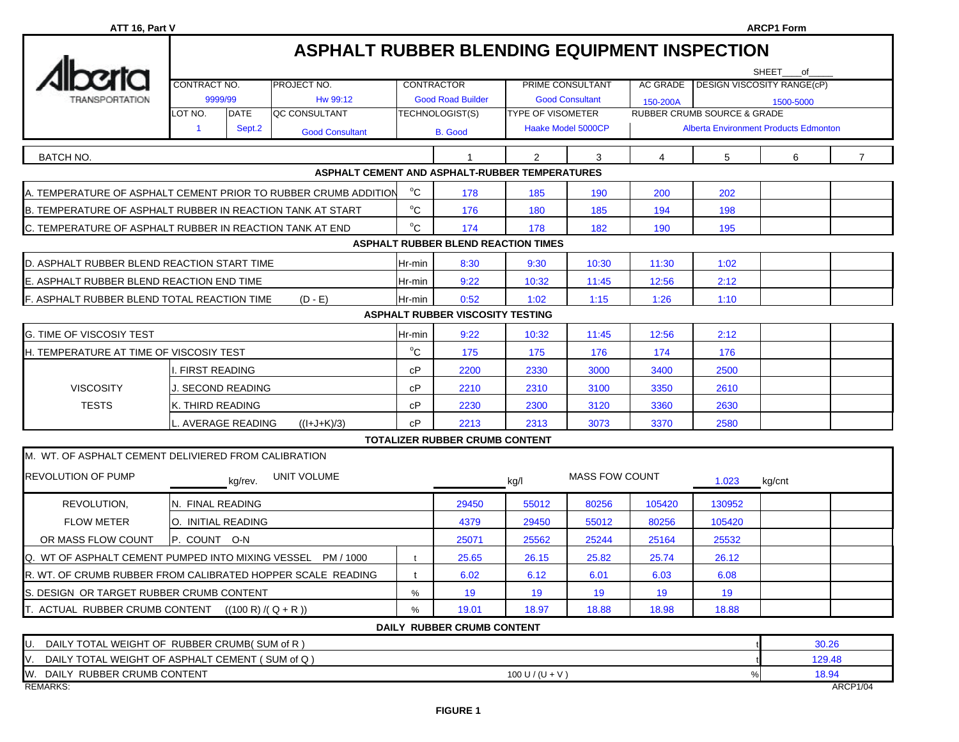| ATT 16, Part V<br><b>ARCP1 Form</b>                             |                                       |             |                                                     |                   |                                         |                          |                        |                                        |                                   |                                              |                |  |
|-----------------------------------------------------------------|---------------------------------------|-------------|-----------------------------------------------------|-------------------|-----------------------------------------|--------------------------|------------------------|----------------------------------------|-----------------------------------|----------------------------------------------|----------------|--|
|                                                                 |                                       |             | <b>ASPHALT RUBBER BLENDING EQUIPMENT INSPECTION</b> |                   |                                         |                          |                        |                                        |                                   |                                              |                |  |
|                                                                 |                                       |             |                                                     |                   |                                         |                          |                        |                                        |                                   | <b>SHEET</b><br>_of_                         |                |  |
|                                                                 | CONTRACT NO.                          |             | PROJECT NO.                                         | <b>CONTRACTOR</b> |                                         | PRIME CONSULTANT         |                        | <b>AC GRADE</b>                        | <b>DESIGN VISCOSITY RANGE(cP)</b> |                                              |                |  |
| 9999/99<br>TRANSPORTATION                                       |                                       |             | Hw 99:12                                            |                   | <b>Good Road Builder</b>                |                          | <b>Good Consultant</b> | 150-200A                               |                                   |                                              |                |  |
|                                                                 | LOT NO.                               | <b>DATE</b> | QC CONSULTANT                                       |                   | TECHNOLOGIST(S)                         | <b>TYPE OF VISOMETER</b> |                        | <b>RUBBER CRUMB SOURCE &amp; GRADE</b> |                                   |                                              |                |  |
| $\overline{1}$                                                  |                                       | Sept.2      | <b>Good Consultant</b>                              | <b>B.</b> Good    |                                         | Haake Model 5000CP       |                        |                                        |                                   | <b>Alberta Environment Products Edmonton</b> |                |  |
| <b>BATCH NO.</b>                                                |                                       |             |                                                     |                   |                                         | 2                        | 3                      | 4                                      | 5                                 | 6                                            | $\overline{7}$ |  |
| ASPHALT CEMENT AND ASPHALT-RUBBER TEMPERATURES                  |                                       |             |                                                     |                   |                                         |                          |                        |                                        |                                   |                                              |                |  |
| A. TEMPERATURE OF ASPHALT CEMENT PRIOR TO RUBBER CRUMB ADDITION |                                       |             |                                                     | $^{\circ}$ C      | 178                                     | 185                      | 190                    | 200                                    | 202                               |                                              |                |  |
| B. TEMPERATURE OF ASPHALT RUBBER IN REACTION TANK AT START      |                                       |             |                                                     | $^{\circ}$ C      | 176                                     | 180                      | 185                    | 194                                    | 198                               |                                              |                |  |
| C. TEMPERATURE OF ASPHALT RUBBER IN REACTION TANK AT END        |                                       |             |                                                     | $^{\circ}$ C      | 174                                     | 178                      | 182                    | 190                                    | 195                               |                                              |                |  |
| <b>ASPHALT RUBBER BLEND REACTION TIMES</b>                      |                                       |             |                                                     |                   |                                         |                          |                        |                                        |                                   |                                              |                |  |
| D. ASPHALT RUBBER BLEND REACTION START TIME                     |                                       |             |                                                     | Hr-min            | 8:30                                    | 9:30                     | 10:30                  | 11:30                                  | 1:02                              |                                              |                |  |
| E. ASPHALT RUBBER BLEND REACTION END TIME                       |                                       |             |                                                     |                   | 9:22                                    | 10:32                    | 11:45                  | 12:56                                  | 2:12                              |                                              |                |  |
| F. ASPHALT RUBBER BLEND TOTAL REACTION TIME                     |                                       |             | $(D - E)$                                           | Hr-min            | 0:52                                    | 1:02                     | 1:15                   | 1:26                                   | 1:10                              |                                              |                |  |
|                                                                 |                                       |             |                                                     |                   | <b>ASPHALT RUBBER VISCOSITY TESTING</b> |                          |                        |                                        |                                   |                                              |                |  |
| <b>G. TIME OF VISCOSIY TEST</b>                                 |                                       |             |                                                     | Hr-min            | 9:22                                    | 10:32                    | 11:45                  | 12:56                                  | 2:12                              |                                              |                |  |
| H. TEMPERATURE AT TIME OF VISCOSIY TEST                         |                                       |             |                                                     | $^{\circ}$ C      | 175                                     | 175                      | 176                    | 174                                    | 176                               |                                              |                |  |
|                                                                 | . FIRST READING                       |             |                                                     | cP                | 2200                                    | 2330                     | 3000                   | 3400                                   | 2500                              |                                              |                |  |
| <b>VISCOSITY</b>                                                | J. SECOND READING<br>K. THIRD READING |             |                                                     | cP                | 2210                                    | 2310                     | 3100                   | 3350                                   | 2610                              |                                              |                |  |
| <b>TESTS</b>                                                    |                                       |             |                                                     | cP                | 2230                                    | 2300                     | 3120                   | 3360                                   | 2630                              |                                              |                |  |
|                                                                 | AVERAGE READING<br>$((1+J+K)/3)$      |             |                                                     |                   | 2213                                    | 2313                     | 3073                   | 3370                                   | 2580                              |                                              |                |  |
|                                                                 |                                       |             |                                                     |                   | TOTALIZER RUBBER CRUMB CONTENT          |                          |                        |                                        |                                   |                                              |                |  |
| M. WT. OF ASPHALT CEMENT DELIVIERED FROM CALIBRATION            |                                       |             |                                                     |                   |                                         |                          |                        |                                        |                                   |                                              |                |  |
| <b>REVOLUTION OF PUMP</b>                                       |                                       | kg/rev.     | UNIT VOLUME                                         |                   |                                         | kg/l                     | <b>MASS FOW COUNT</b>  |                                        | 1.023                             | kg/cnt                                       |                |  |
| REVOLUTION,                                                     | N. FINAL READING                      |             |                                                     |                   | 29450                                   | 55012                    | 80256                  | 105420                                 | 130952                            |                                              |                |  |
| <b>FLOW METER</b>                                               | O. INITIAL READING                    |             |                                                     |                   | 4379                                    | 29450                    | 55012                  | 80256                                  | 105420                            |                                              |                |  |
| OR MASS FLOW COUNT                                              | P. COUNT O-N                          |             |                                                     |                   | 25071                                   | 25562                    | 25244                  | 25164                                  | 25532                             |                                              |                |  |
| Q. WT OF ASPHALT CEMENT PUMPED INTO MIXING VESSEL PM / 1000     |                                       |             |                                                     |                   | 25.65                                   | 26.15                    | 25.82                  | 25.74                                  | 26.12                             |                                              |                |  |
| R. WT. OF CRUMB RUBBER FROM CALIBRATED HOPPER SCALE READING     |                                       |             |                                                     | t                 | 6.02                                    | 6.12                     | 6.01                   | 6.03                                   | 6.08                              |                                              |                |  |
| S. DESIGN OR TARGET RUBBER CRUMB CONTENT                        |                                       |             |                                                     | %                 | 19                                      | 19                       | 19                     | 19                                     | 19                                |                                              |                |  |
| T. ACTUAL RUBBER CRUMB CONTENT<br>$((100 R)/(Q + R))$           |                                       |             |                                                     |                   | 19.01                                   | 18.97                    | 18.88                  | 18.98                                  | 18.88                             |                                              |                |  |
|                                                                 |                                       |             |                                                     |                   | DAILY RUBBER CRUMB CONTENT              |                          |                        |                                        |                                   |                                              |                |  |
| DAILY TOTAL WEIGHT OF RUBBER CRUMB(SUM of R)<br>IU.             |                                       |             |                                                     |                   |                                         |                          |                        |                                        |                                   | 30.26                                        |                |  |
| V.<br>DAILY TOTAL WEIGHT OF ASPHALT CEMENT (SUM of Q)           |                                       |             |                                                     |                   |                                         |                          |                        |                                        | 129.48                            |                                              |                |  |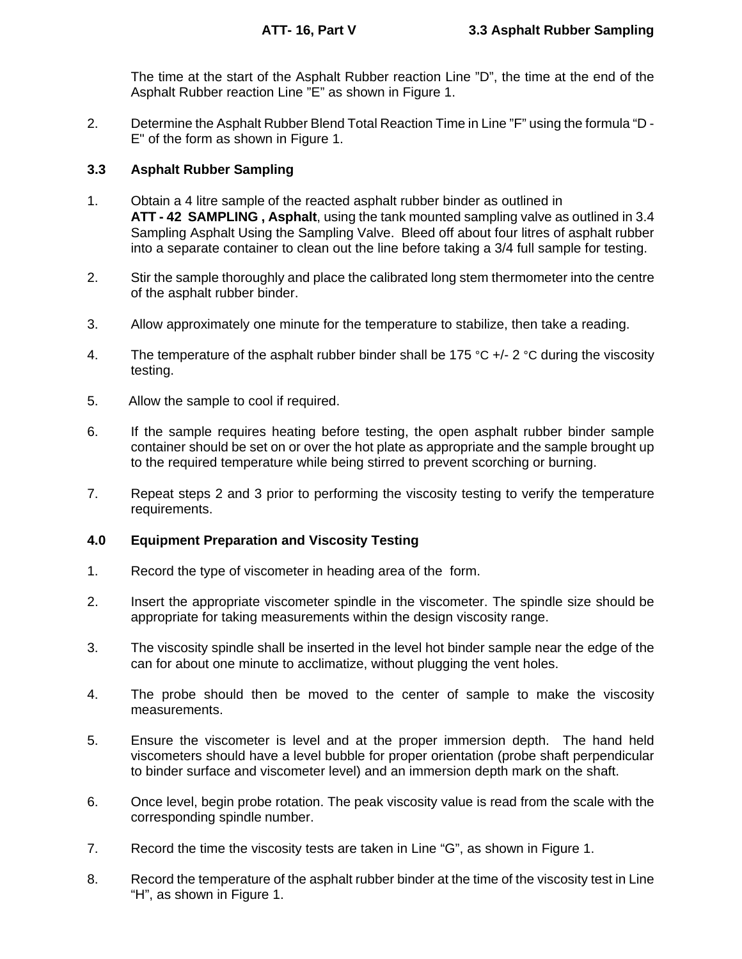The time at the start of the Asphalt Rubber reaction Line "D", the time at the end of the Asphalt Rubber reaction Line "E" as shown in Figure 1.

2. Determine the Asphalt Rubber Blend Total Reaction Time in Line "F" using the formula "D - E" of the form as shown in Figure 1.

## **3.3 Asphalt Rubber Sampling**

- 1. Obtain a 4 litre sample of the reacted asphalt rubber binder as outlined in **ATT - 42 SAMPLING , Asphalt**, using the tank mounted sampling valve as outlined in 3.4 Sampling Asphalt Using the Sampling Valve. Bleed off about four litres of asphalt rubber into a separate container to clean out the line before taking a 3/4 full sample for testing.
- 2. Stir the sample thoroughly and place the calibrated long stem thermometer into the centre of the asphalt rubber binder.
- 3. Allow approximately one minute for the temperature to stabilize, then take a reading.
- 4. The temperature of the asphalt rubber binder shall be 175 °C  $+/- 2$  °C during the viscosity testing.
- 5. Allow the sample to cool if required.
- 6. If the sample requires heating before testing, the open asphalt rubber binder sample container should be set on or over the hot plate as appropriate and the sample brought up to the required temperature while being stirred to prevent scorching or burning.
- 7. Repeat steps 2 and 3 prior to performing the viscosity testing to verify the temperature requirements.

### **4.0 Equipment Preparation and Viscosity Testing**

- 1. Record the type of viscometer in heading area of the form.
- 2. Insert the appropriate viscometer spindle in the viscometer. The spindle size should be appropriate for taking measurements within the design viscosity range.
- 3. The viscosity spindle shall be inserted in the level hot binder sample near the edge of the can for about one minute to acclimatize, without plugging the vent holes.
- 4. The probe should then be moved to the center of sample to make the viscosity measurements.
- 5. Ensure the viscometer is level and at the proper immersion depth. The hand held viscometers should have a level bubble for proper orientation (probe shaft perpendicular to binder surface and viscometer level) and an immersion depth mark on the shaft.
- 6. Once level, begin probe rotation. The peak viscosity value is read from the scale with the corresponding spindle number.
- 7. Record the time the viscosity tests are taken in Line "G", as shown in Figure 1.
- 8. Record the temperature of the asphalt rubber binder at the time of the viscosity test in Line "H", as shown in Figure 1.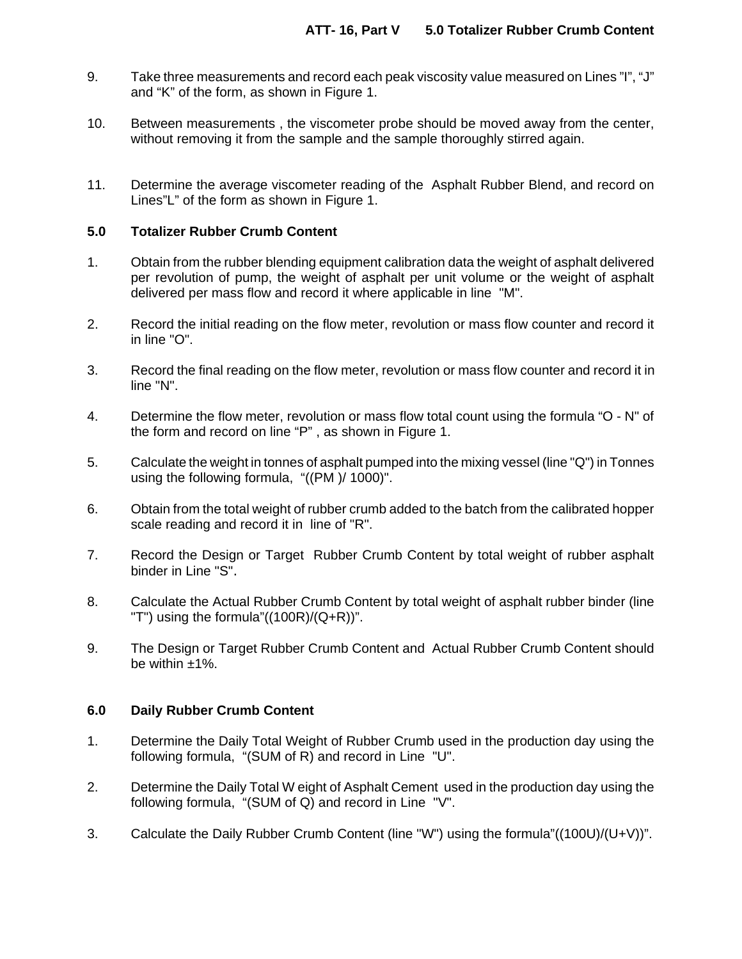- 9. Take three measurements and record each peak viscosity value measured on Lines "I", "J" and "K" of the form, as shown in Figure 1.
- 10. Between measurements , the viscometer probe should be moved away from the center, without removing it from the sample and the sample thoroughly stirred again.
- 11. Determine the average viscometer reading of the Asphalt Rubber Blend, and record on Lines"L" of the form as shown in Figure 1.

#### **5.0 Totalizer Rubber Crumb Content**

- 1. Obtain from the rubber blending equipment calibration data the weight of asphalt delivered per revolution of pump, the weight of asphalt per unit volume or the weight of asphalt delivered per mass flow and record it where applicable in line "M".
- 2. Record the initial reading on the flow meter, revolution or mass flow counter and record it in line "O".
- 3. Record the final reading on the flow meter, revolution or mass flow counter and record it in line "N".
- 4. Determine the flow meter, revolution or mass flow total count using the formula "O N" of the form and record on line "P" , as shown in Figure 1.
- 5. Calculate the weight in tonnes of asphalt pumped into the mixing vessel (line "Q") in Tonnes using the following formula, "((PM )/ 1000)".
- 6. Obtain from the total weight of rubber crumb added to the batch from the calibrated hopper scale reading and record it in line of "R".
- 7. Record the Design or Target Rubber Crumb Content by total weight of rubber asphalt binder in Line "S".
- 8. Calculate the Actual Rubber Crumb Content by total weight of asphalt rubber binder (line "T") using the formula" $((100R)/(Q+R))$ ".
- 9. The Design or Target Rubber Crumb Content and Actual Rubber Crumb Content should be within  $±1\%$ .

#### **6.0 Daily Rubber Crumb Content**

- 1. Determine the Daily Total Weight of Rubber Crumb used in the production day using the following formula, "(SUM of R) and record in Line "U".
- 2. Determine the Daily Total W eight of Asphalt Cement used in the production day using the following formula, "(SUM of Q) and record in Line "V".
- 3. Calculate the Daily Rubber Crumb Content (line "W") using the formula"((100U)/(U+V))".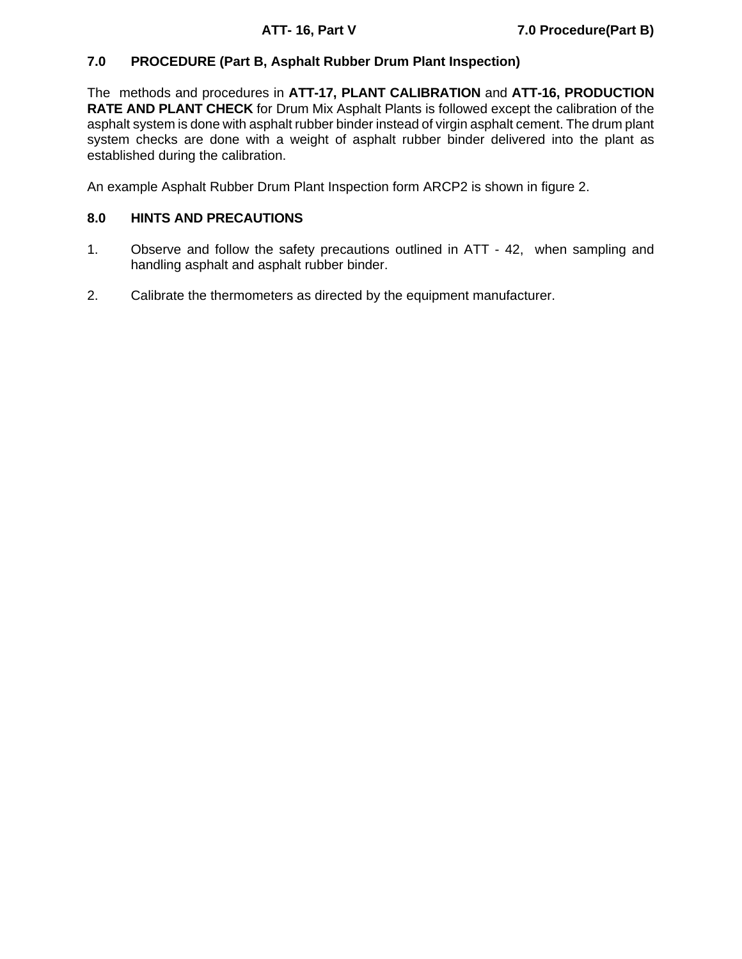# **7.0 PROCEDURE (Part B, Asphalt Rubber Drum Plant Inspection)**

The methods and procedures in **ATT-17, PLANT CALIBRATION** and **ATT-16, PRODUCTION RATE AND PLANT CHECK** for Drum Mix Asphalt Plants is followed except the calibration of the asphalt system is done with asphalt rubber binder instead of virgin asphalt cement. The drum plant system checks are done with a weight of asphalt rubber binder delivered into the plant as established during the calibration.

An example Asphalt Rubber Drum Plant Inspection form ARCP2 is shown in figure 2.

# **8.0 HINTS AND PRECAUTIONS**

- 1. Observe and follow the safety precautions outlined in ATT 42, when sampling and handling asphalt and asphalt rubber binder.
- 2. Calibrate the thermometers as directed by the equipment manufacturer.